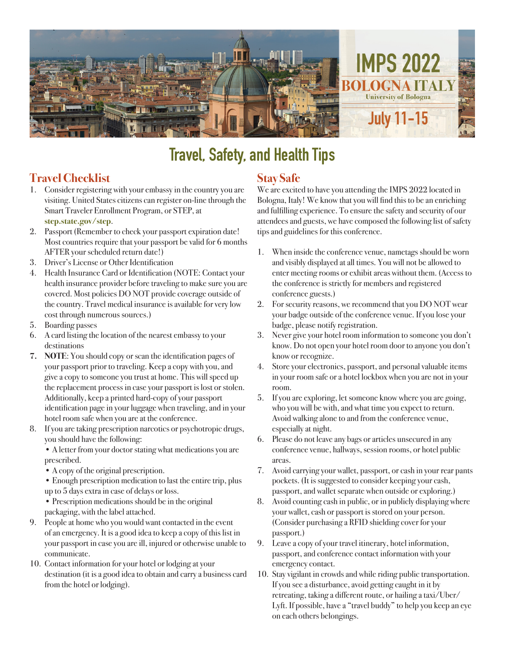

# **Travel, Safety, and Health Tips**

#### **Travel Checklist**

- 1. Consider registering with your embassy in the country you are visiting. United States citizens can register on-line through the Smart Traveler Enrollment Program, or STEP, at **step.state.gov/step**.
- 2. Passport (Remember to check your passport expiration date! Most countries require that your passport be valid for 6 months AFTER your scheduled return date!)
- 3. Driver's License or Other Identification
- 4. Health Insurance Card or Identification (NOTE: Contact your health insurance provider before traveling to make sure you are covered. Most policies DO NOT provide coverage outside of the country. Travel medical insurance is available for very low cost through numerous sources.)
- 5. Boarding passes
- 6. A card listing the location of the nearest embassy to your destinations
- **7. NOTE**: You should copy or scan the identification pages of your passport prior to traveling. Keep a copy with you, and give a copy to someone you trust at home. This will speed up the replacement process in case your passport is lost or stolen. Additionally, keep a printed hard-copy of your passport identification page in your luggage when traveling, and in your hotel room safe when you are at the conference.
- 8. If you are taking prescription narcotics or psychotropic drugs, you should have the following:

• A letter from your doctor stating what medications you are prescribed.

• A copy of the original prescription.

• Enough prescription medication to last the entire trip, plus up to 5 days extra in case of delays or loss.

• Prescription medications should be in the original packaging, with the label attached.

- 9. People at home who you would want contacted in the event of an emergency. It is a good idea to keep a copy of this list in your passport in case you are ill, injured or otherwise unable to communicate.
- 10. Contact information for your hotel or lodging at your destination (it is a good idea to obtain and carry a business card from the hotel or lodging).

#### **Stay Safe**

We are excited to have you attending the IMPS 2022 located in Bologna, Italy! We know that you will find this to be an enriching and fulfilling experience. To ensure the safety and security of our attendees and guests, we have composed the following list of safety tips and guidelines for this conference.

- 1. When inside the conference venue, nametags should be worn and visibly displayed at all times. You will not be allowed to enter meeting rooms or exhibit areas without them. (Access to the conference is strictly for members and registered conference guests.)
- 2. For security reasons, we recommend that you DO NOT wear your badge outside of the conference venue. If you lose your badge, please notify registration.
- 3. Never give your hotel room information to someone you don't know. Do not open your hotel room door to anyone you don't know or recognize.
- 4. Store your electronics, passport, and personal valuable items in your room safe or a hotel lockbox when you are not in your room.
- 5. If you are exploring, let someone know where you are going, who you will be with, and what time you expect to return. Avoid walking alone to and from the conference venue, especially at night.
- 6. Please do not leave any bags or articles unsecured in any conference venue, hallways, session rooms, or hotel public areas.
- 7. Avoid carrying your wallet, passport, or cash in your rear pants pockets. (It is suggested to consider keeping your cash, passport, and wallet separate when outside or exploring.)
- 8. Avoid counting cash in public, or in publicly displaying where your wallet, cash or passport is stored on your person. (Consider purchasing a RFID shielding cover for your passport.)
- 9. Leave a copy of your travel itinerary, hotel information, passport, and conference contact information with your emergency contact.
- 10. Stay vigilant in crowds and while riding public transportation. If you see a disturbance, avoid getting caught in it by retreating, taking a different route, or hailing a taxi/Uber/ Lyft. If possible, have a "travel buddy" to help you keep an eye on each others belongings.